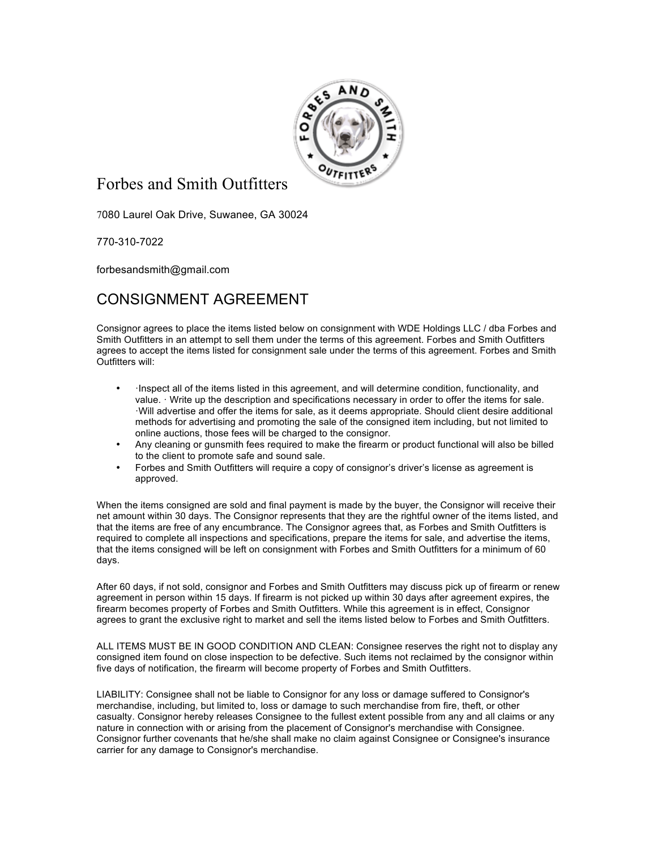

## Forbes and Smith Outfitters

7080 Laurel Oak Drive, Suwanee, GA 30024

770-310-7022

forbesandsmith@gmail.com

## CONSIGNMENT AGREEMENT

Consignor agrees to place the items listed below on consignment with WDE Holdings LLC / dba Forbes and Smith Outfitters in an attempt to sell them under the terms of this agreement. Forbes and Smith Outfitters agrees to accept the items listed for consignment sale under the terms of this agreement. Forbes and Smith Outfitters will:

- Inspect all of the items listed in this agreement, and will determine condition, functionality, and value. · Write up the description and specifications necessary in order to offer the items for sale. ·Will advertise and offer the items for sale, as it deems appropriate. Should client desire additional methods for advertising and promoting the sale of the consigned item including, but not limited to online auctions, those fees will be charged to the consignor.
- Any cleaning or gunsmith fees required to make the firearm or product functional will also be billed to the client to promote safe and sound sale.
- Forbes and Smith Outfitters will require a copy of consignor's driver's license as agreement is approved.

When the items consigned are sold and final payment is made by the buyer, the Consignor will receive their net amount within 30 days. The Consignor represents that they are the rightful owner of the items listed, and that the items are free of any encumbrance. The Consignor agrees that, as Forbes and Smith Outfitters is required to complete all inspections and specifications, prepare the items for sale, and advertise the items, that the items consigned will be left on consignment with Forbes and Smith Outfitters for a minimum of 60 days.

After 60 days, if not sold, consignor and Forbes and Smith Outfitters may discuss pick up of firearm or renew agreement in person within 15 days. If firearm is not picked up within 30 days after agreement expires, the firearm becomes property of Forbes and Smith Outfitters. While this agreement is in effect, Consignor agrees to grant the exclusive right to market and sell the items listed below to Forbes and Smith Outfitters.

ALL ITEMS MUST BE IN GOOD CONDITION AND CLEAN: Consignee reserves the right not to display any consigned item found on close inspection to be defective. Such items not reclaimed by the consignor within five days of notification, the firearm will become property of Forbes and Smith Outfitters.

LIABILITY: Consignee shall not be liable to Consignor for any loss or damage suffered to Consignor's merchandise, including, but limited to, loss or damage to such merchandise from fire, theft, or other casualty. Consignor hereby releases Consignee to the fullest extent possible from any and all claims or any nature in connection with or arising from the placement of Consignor's merchandise with Consignee. Consignor further covenants that he/she shall make no claim against Consignee or Consignee's insurance carrier for any damage to Consignor's merchandise.